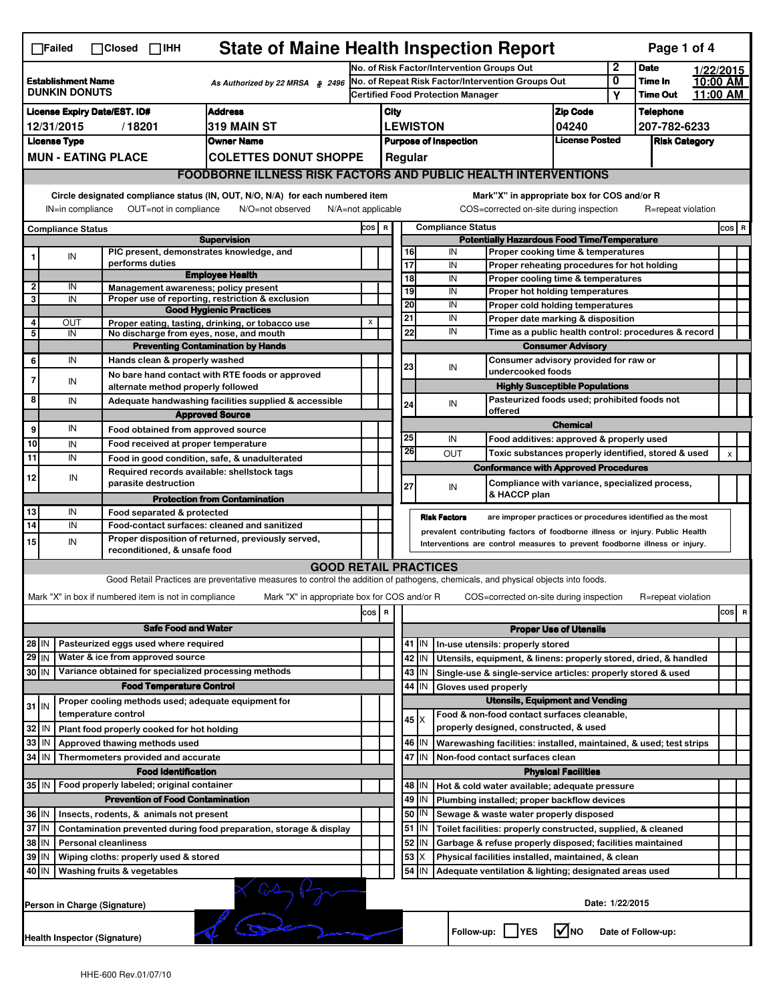| <b>State of Maine Health Inspection Report</b><br>Page 1 of 4<br>$\Box$ Failed<br>$\Box$ Closed $\Box$ iHH                                               |                                                                                                                               |  |                                                                             |                                                                                                                                                                   |                                                                                   |                                            |                                                                                                                   |           |                     |                                                                                       |                                                             |                      |                    |  |                |
|----------------------------------------------------------------------------------------------------------------------------------------------------------|-------------------------------------------------------------------------------------------------------------------------------|--|-----------------------------------------------------------------------------|-------------------------------------------------------------------------------------------------------------------------------------------------------------------|-----------------------------------------------------------------------------------|--------------------------------------------|-------------------------------------------------------------------------------------------------------------------|-----------|---------------------|---------------------------------------------------------------------------------------|-------------------------------------------------------------|----------------------|--------------------|--|----------------|
|                                                                                                                                                          |                                                                                                                               |  |                                                                             |                                                                                                                                                                   |                                                                                   | No. of Risk Factor/Intervention Groups Out |                                                                                                                   |           |                     | 2                                                                                     | <b>Date</b>                                                 |                      | 1/22/2015          |  |                |
| <b>Establishment Name</b><br>As Authorized by 22 MRSA § 2496<br><b>DUNKIN DONUTS</b>                                                                     |                                                                                                                               |  | No. of Repeat Risk Factor/Intervention Groups Out                           |                                                                                                                                                                   |                                                                                   |                                            |                                                                                                                   |           | 0                   | Time In                                                                               |                                                             | 10:00 AM             |                    |  |                |
|                                                                                                                                                          |                                                                                                                               |  |                                                                             |                                                                                                                                                                   |                                                                                   | Certified Food Protection Manager          |                                                                                                                   |           |                     |                                                                                       |                                                             | Y                    | <b>Time Out</b>    |  | 11:00 AM       |
| <b>Address</b><br><b>License Expiry Date/EST. ID#</b>                                                                                                    |                                                                                                                               |  |                                                                             |                                                                                                                                                                   |                                                                                   | <b>Zip Code</b><br>City                    |                                                                                                                   |           |                     |                                                                                       | <b>Telephone</b>                                            |                      |                    |  |                |
| /18201<br>319 MAIN ST<br>12/31/2015                                                                                                                      |                                                                                                                               |  |                                                                             |                                                                                                                                                                   | <b>LEWISTON</b><br>04240<br><b>License Posted</b><br><b>Purpose of Inspection</b> |                                            |                                                                                                                   |           |                     | 207-782-6233                                                                          |                                                             |                      |                    |  |                |
| <b>License Type</b><br><b>Owner Name</b>                                                                                                                 |                                                                                                                               |  |                                                                             |                                                                                                                                                                   |                                                                                   |                                            |                                                                                                                   |           |                     |                                                                                       |                                                             | <b>Risk Category</b> |                    |  |                |
|                                                                                                                                                          | <b>MUN - EATING PLACE</b><br><b>COLETTES DONUT SHOPPE</b>                                                                     |  |                                                                             |                                                                                                                                                                   |                                                                                   |                                            |                                                                                                                   | Regular   |                     |                                                                                       |                                                             |                      |                    |  |                |
|                                                                                                                                                          |                                                                                                                               |  |                                                                             | <b>FOODBORNE ILLNESS RISK FACTORS AND PUBLIC HEALTH INTERVENTIONS</b>                                                                                             |                                                                                   |                                            |                                                                                                                   |           |                     |                                                                                       |                                                             |                      |                    |  |                |
|                                                                                                                                                          | Circle designated compliance status (IN, OUT, N/O, N/A) for each numbered item<br>Mark"X" in appropriate box for COS and/or R |  |                                                                             |                                                                                                                                                                   |                                                                                   |                                            |                                                                                                                   |           |                     |                                                                                       |                                                             |                      |                    |  |                |
| OUT=not in compliance<br>COS=corrected on-site during inspection<br>IN=in compliance<br>N/O=not observed<br>$N/A = not$ applicable<br>R=repeat violation |                                                                                                                               |  |                                                                             |                                                                                                                                                                   |                                                                                   |                                            |                                                                                                                   |           |                     |                                                                                       |                                                             |                      |                    |  |                |
|                                                                                                                                                          | <b>Compliance Status</b><br><b>Supervision</b>                                                                                |  |                                                                             |                                                                                                                                                                   |                                                                                   |                                            | COS R<br><b>Compliance Status</b><br><b>Potentially Hazardous Food Time/Temperature</b>                           |           |                     |                                                                                       |                                                             |                      |                    |  | $cos$ R        |
|                                                                                                                                                          | IN                                                                                                                            |  | PIC present, demonstrates knowledge, and                                    |                                                                                                                                                                   |                                                                                   |                                            |                                                                                                                   | 16        | IN                  |                                                                                       | Proper cooking time & temperatures                          |                      |                    |  |                |
| 1                                                                                                                                                        |                                                                                                                               |  | performs duties                                                             |                                                                                                                                                                   |                                                                                   |                                            | $\overline{17}$                                                                                                   |           | IN                  |                                                                                       | Proper reheating procedures for hot holding                 |                      |                    |  |                |
|                                                                                                                                                          |                                                                                                                               |  |                                                                             | <b>Employee Health</b>                                                                                                                                            |                                                                                   |                                            |                                                                                                                   | 18        | IN                  |                                                                                       | Proper cooling time & temperatures                          |                      |                    |  |                |
| $\overline{2}$<br>3                                                                                                                                      | IN<br>IN                                                                                                                      |  | Management awareness; policy present                                        | Proper use of reporting, restriction & exclusion                                                                                                                  |                                                                                   |                                            |                                                                                                                   | 19        | IN                  |                                                                                       | Proper hot holding temperatures                             |                      |                    |  |                |
|                                                                                                                                                          |                                                                                                                               |  |                                                                             | <b>Good Hygienic Practices</b>                                                                                                                                    |                                                                                   |                                            | 20                                                                                                                |           | IN                  |                                                                                       | Proper cold holding temperatures                            |                      |                    |  |                |
| 4                                                                                                                                                        | Ουτ                                                                                                                           |  |                                                                             | Proper eating, tasting, drinking, or tobacco use                                                                                                                  | X                                                                                 |                                            | 21                                                                                                                |           | IN                  |                                                                                       | Proper date marking & disposition                           |                      |                    |  |                |
| 5                                                                                                                                                        | IN                                                                                                                            |  | No discharge from eyes, nose, and mouth                                     |                                                                                                                                                                   |                                                                                   |                                            |                                                                                                                   | 22        | IN                  |                                                                                       | Time as a public health control: procedures & record        |                      |                    |  |                |
|                                                                                                                                                          |                                                                                                                               |  |                                                                             | <b>Preventing Contamination by Hands</b>                                                                                                                          |                                                                                   |                                            |                                                                                                                   |           |                     |                                                                                       | <b>Consumer Advisory</b>                                    |                      |                    |  |                |
| 6                                                                                                                                                        | IN                                                                                                                            |  | Hands clean & properly washed                                               |                                                                                                                                                                   |                                                                                   |                                            | 23                                                                                                                |           | IN                  | undercooked foods                                                                     | Consumer advisory provided for raw or                       |                      |                    |  |                |
| 7                                                                                                                                                        | IN                                                                                                                            |  | alternate method properly followed                                          | No bare hand contact with RTE foods or approved                                                                                                                   |                                                                                   |                                            |                                                                                                                   |           |                     |                                                                                       | <b>Highly Susceptible Populations</b>                       |                      |                    |  |                |
| 8                                                                                                                                                        | IN                                                                                                                            |  |                                                                             | Adequate handwashing facilities supplied & accessible                                                                                                             |                                                                                   |                                            |                                                                                                                   |           |                     |                                                                                       | Pasteurized foods used; prohibited foods not                |                      |                    |  |                |
|                                                                                                                                                          |                                                                                                                               |  |                                                                             | <b>Approved Source</b>                                                                                                                                            |                                                                                   |                                            |                                                                                                                   | 24        | IN                  | offered                                                                               |                                                             |                      |                    |  |                |
| 9                                                                                                                                                        | IN                                                                                                                            |  | Food obtained from approved source                                          |                                                                                                                                                                   |                                                                                   |                                            |                                                                                                                   |           |                     |                                                                                       | <b>Chemical</b>                                             |                      |                    |  |                |
| 10                                                                                                                                                       | IN                                                                                                                            |  | Food received at proper temperature                                         |                                                                                                                                                                   |                                                                                   |                                            | 25                                                                                                                |           | IN                  |                                                                                       | Food additives: approved & properly used                    |                      |                    |  |                |
| 11                                                                                                                                                       | IN                                                                                                                            |  | Food in good condition, safe, & unadulterated                               |                                                                                                                                                                   |                                                                                   |                                            |                                                                                                                   | 26        | <b>OUT</b>          |                                                                                       | Toxic substances properly identified, stored & used         |                      |                    |  | $\pmb{\times}$ |
|                                                                                                                                                          |                                                                                                                               |  | Required records available: shellstock tags                                 |                                                                                                                                                                   |                                                                                   |                                            |                                                                                                                   |           |                     | <b>Conformance with Approved Procedures</b>                                           |                                                             |                      |                    |  |                |
| 12                                                                                                                                                       | IN                                                                                                                            |  | parasite destruction                                                        |                                                                                                                                                                   |                                                                                   |                                            | 27                                                                                                                |           | IN                  |                                                                                       | Compliance with variance, specialized process,              |                      |                    |  |                |
|                                                                                                                                                          |                                                                                                                               |  |                                                                             | <b>Protection from Contamination</b>                                                                                                                              |                                                                                   |                                            |                                                                                                                   |           |                     | & HACCP plan                                                                          |                                                             |                      |                    |  |                |
| 13                                                                                                                                                       | IN                                                                                                                            |  | Food separated & protected                                                  |                                                                                                                                                                   |                                                                                   |                                            |                                                                                                                   |           | <b>Risk Factors</b> |                                                                                       | are improper practices or procedures identified as the most |                      |                    |  |                |
| 14                                                                                                                                                       | IN                                                                                                                            |  | Food-contact surfaces: cleaned and sanitized                                |                                                                                                                                                                   |                                                                                   |                                            |                                                                                                                   |           |                     | prevalent contributing factors of foodborne illness or injury. Public Health          |                                                             |                      |                    |  |                |
| 15                                                                                                                                                       | IN                                                                                                                            |  | reconditioned, & unsafe food                                                | Proper disposition of returned, previously served,                                                                                                                |                                                                                   |                                            | Interventions are control measures to prevent foodborne illness or injury.                                        |           |                     |                                                                                       |                                                             |                      |                    |  |                |
|                                                                                                                                                          |                                                                                                                               |  |                                                                             |                                                                                                                                                                   |                                                                                   |                                            |                                                                                                                   |           |                     |                                                                                       |                                                             |                      |                    |  |                |
|                                                                                                                                                          |                                                                                                                               |  |                                                                             | <b>GOOD RETAIL PRACTICES</b><br>Good Retail Practices are preventative measures to control the addition of pathogens, chemicals, and physical objects into foods. |                                                                                   |                                            |                                                                                                                   |           |                     |                                                                                       |                                                             |                      |                    |  |                |
|                                                                                                                                                          |                                                                                                                               |  |                                                                             |                                                                                                                                                                   |                                                                                   |                                            |                                                                                                                   |           |                     |                                                                                       |                                                             |                      |                    |  |                |
|                                                                                                                                                          |                                                                                                                               |  | Mark "X" in box if numbered item is not in compliance                       | Mark "X" in appropriate box for COS and/or R                                                                                                                      |                                                                                   |                                            |                                                                                                                   |           |                     | COS=corrected on-site during inspection                                               |                                                             |                      | R=repeat violation |  |                |
|                                                                                                                                                          |                                                                                                                               |  |                                                                             |                                                                                                                                                                   | cos   R                                                                           |                                            |                                                                                                                   |           |                     |                                                                                       |                                                             |                      |                    |  | $cos$ R        |
|                                                                                                                                                          | <b>Safe Food and Water</b>                                                                                                    |  |                                                                             |                                                                                                                                                                   |                                                                                   |                                            |                                                                                                                   |           |                     |                                                                                       | <b>Proper Use of Utensils</b>                               |                      |                    |  |                |
| $28$ IN                                                                                                                                                  |                                                                                                                               |  | Pasteurized eggs used where required                                        |                                                                                                                                                                   |                                                                                   |                                            | 41<br>IN.<br>In-use utensils: properly stored<br>Utensils, equipment, & linens: properly stored, dried, & handled |           |                     |                                                                                       |                                                             |                      |                    |  |                |
| $29$ IN                                                                                                                                                  |                                                                                                                               |  | Water & ice from approved source                                            |                                                                                                                                                                   |                                                                                   |                                            |                                                                                                                   | 42<br>IN  |                     |                                                                                       |                                                             |                      |                    |  |                |
| $30$ IN                                                                                                                                                  |                                                                                                                               |  | Variance obtained for specialized processing methods                        |                                                                                                                                                                   |                                                                                   |                                            |                                                                                                                   | 43<br>IN  |                     | Single-use & single-service articles: properly stored & used                          |                                                             |                      |                    |  |                |
| <b>Food Temperature Control</b>                                                                                                                          |                                                                                                                               |  |                                                                             |                                                                                                                                                                   |                                                                                   |                                            | 44<br>IN<br>Gloves used properly<br><b>Utensils, Equipment and Vending</b>                                        |           |                     |                                                                                       |                                                             |                      |                    |  |                |
| $31$ IN                                                                                                                                                  |                                                                                                                               |  | Proper cooling methods used; adequate equipment for<br>temperature control  |                                                                                                                                                                   |                                                                                   |                                            |                                                                                                                   |           |                     |                                                                                       |                                                             |                      |                    |  |                |
| 32                                                                                                                                                       | l IN                                                                                                                          |  |                                                                             |                                                                                                                                                                   |                                                                                   |                                            |                                                                                                                   | 45 I X    |                     | Food & non-food contact surfaces cleanable,<br>properly designed, constructed, & used |                                                             |                      |                    |  |                |
| 33                                                                                                                                                       | IN                                                                                                                            |  | Plant food properly cooked for hot holding<br>Approved thawing methods used |                                                                                                                                                                   |                                                                                   |                                            |                                                                                                                   | 46<br>ΙM  |                     | Warewashing facilities: installed, maintained, & used; test strips                    |                                                             |                      |                    |  |                |
| $34$ IN                                                                                                                                                  |                                                                                                                               |  | Thermometers provided and accurate                                          |                                                                                                                                                                   |                                                                                   |                                            |                                                                                                                   | 47<br>IΙN |                     |                                                                                       |                                                             |                      |                    |  |                |
|                                                                                                                                                          |                                                                                                                               |  | <b>Food Identification</b>                                                  |                                                                                                                                                                   |                                                                                   |                                            | Non-food contact surfaces clean                                                                                   |           |                     |                                                                                       |                                                             |                      |                    |  |                |
| <b>Physical Facilities</b><br>Food properly labeled; original container<br>35 IN<br>48   IN<br>Hot & cold water available; adequate pressure             |                                                                                                                               |  |                                                                             |                                                                                                                                                                   |                                                                                   |                                            |                                                                                                                   |           |                     |                                                                                       |                                                             |                      |                    |  |                |
|                                                                                                                                                          |                                                                                                                               |  | <b>Prevention of Food Contamination</b>                                     |                                                                                                                                                                   |                                                                                   |                                            |                                                                                                                   | 49<br>IN  |                     | Plumbing installed; proper backflow devices                                           |                                                             |                      |                    |  |                |
| 36 IN                                                                                                                                                    |                                                                                                                               |  | Insects, rodents, & animals not present                                     |                                                                                                                                                                   |                                                                                   |                                            |                                                                                                                   | 50   IN   |                     | Sewage & waste water properly disposed                                                |                                                             |                      |                    |  |                |
| 37 IN                                                                                                                                                    |                                                                                                                               |  |                                                                             | Contamination prevented during food preparation, storage & display                                                                                                |                                                                                   |                                            |                                                                                                                   | 51<br>ΙM  |                     | Toilet facilities: properly constructed, supplied, & cleaned                          |                                                             |                      |                    |  |                |
| 38 IN                                                                                                                                                    |                                                                                                                               |  | <b>Personal cleanliness</b>                                                 |                                                                                                                                                                   |                                                                                   |                                            |                                                                                                                   | 52<br>IN  |                     | Garbage & refuse properly disposed; facilities maintained                             |                                                             |                      |                    |  |                |
| 39                                                                                                                                                       | l IN                                                                                                                          |  | Wiping cloths: properly used & stored                                       |                                                                                                                                                                   |                                                                                   |                                            |                                                                                                                   | 53        |                     | Physical facilities installed, maintained, & clean                                    |                                                             |                      |                    |  |                |
| 40 IN                                                                                                                                                    |                                                                                                                               |  | Washing fruits & vegetables                                                 |                                                                                                                                                                   |                                                                                   |                                            |                                                                                                                   | 54<br>lιn |                     | Adequate ventilation & lighting; designated areas used                                |                                                             |                      |                    |  |                |
|                                                                                                                                                          | Date: 1/22/2015<br>Person in Charge (Signature)                                                                               |  |                                                                             |                                                                                                                                                                   |                                                                                   |                                            |                                                                                                                   |           |                     |                                                                                       |                                                             |                      |                    |  |                |
|                                                                                                                                                          | l√lno<br>Follow-up:     YES<br>Date of Follow-up:<br><b>Health Inspector (Signature)</b>                                      |  |                                                                             |                                                                                                                                                                   |                                                                                   |                                            |                                                                                                                   |           |                     |                                                                                       |                                                             |                      |                    |  |                |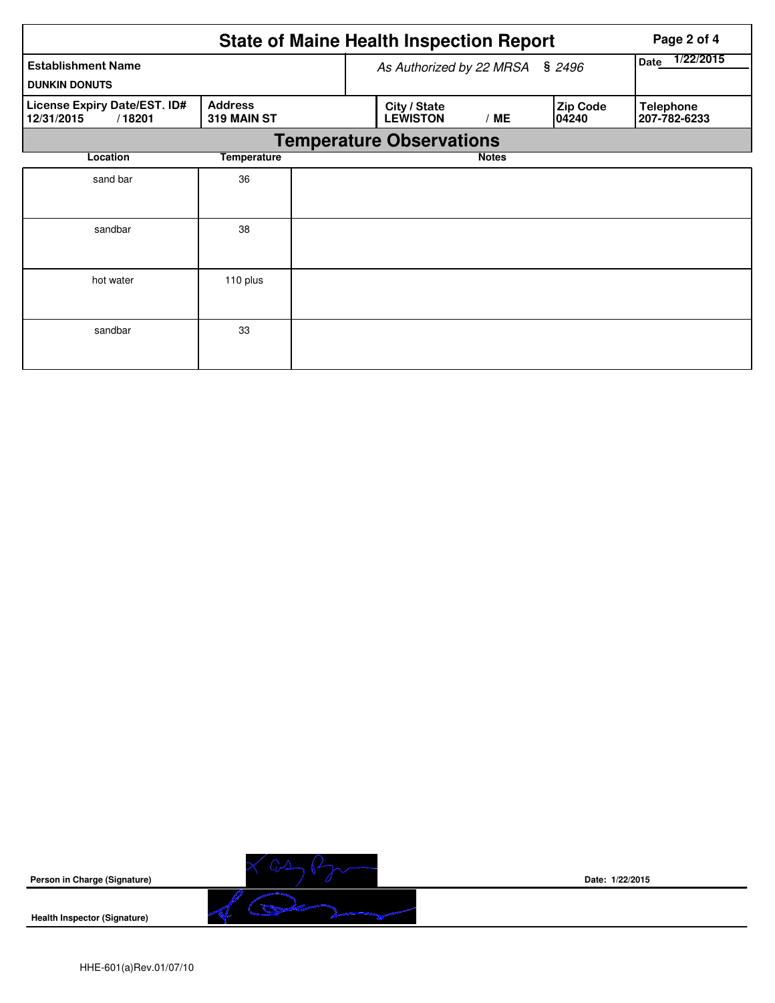|                                                      | Page 2 of 4                   |  |                                        |                   |                    |                                  |  |  |  |  |
|------------------------------------------------------|-------------------------------|--|----------------------------------------|-------------------|--------------------|----------------------------------|--|--|--|--|
| <b>Establishment Name</b><br><b>DUNKIN DONUTS</b>    |                               |  | As Authorized by 22 MRSA § 2496        | 1/22/2015<br>Date |                    |                                  |  |  |  |  |
| License Expiry Date/EST. ID#<br>12/31/2015<br>/18201 | <b>Address</b><br>319 MAIN ST |  | City / State<br><b>LEWISTON</b><br>/ME |                   | Zip Code<br>104240 | <b>Telephone</b><br>207-782-6233 |  |  |  |  |
| <b>Temperature Observations</b>                      |                               |  |                                        |                   |                    |                                  |  |  |  |  |
| Location                                             | Temperature                   |  |                                        | <b>Notes</b>      |                    |                                  |  |  |  |  |
| sand bar                                             | 36                            |  |                                        |                   |                    |                                  |  |  |  |  |
| sandbar                                              | 38                            |  |                                        |                   |                    |                                  |  |  |  |  |
| hot water                                            | 110 plus                      |  |                                        |                   |                    |                                  |  |  |  |  |
| sandbar                                              | 33                            |  |                                        |                   |                    |                                  |  |  |  |  |



**Health Inspector (Signature)** 



**Date: 1/22/2015**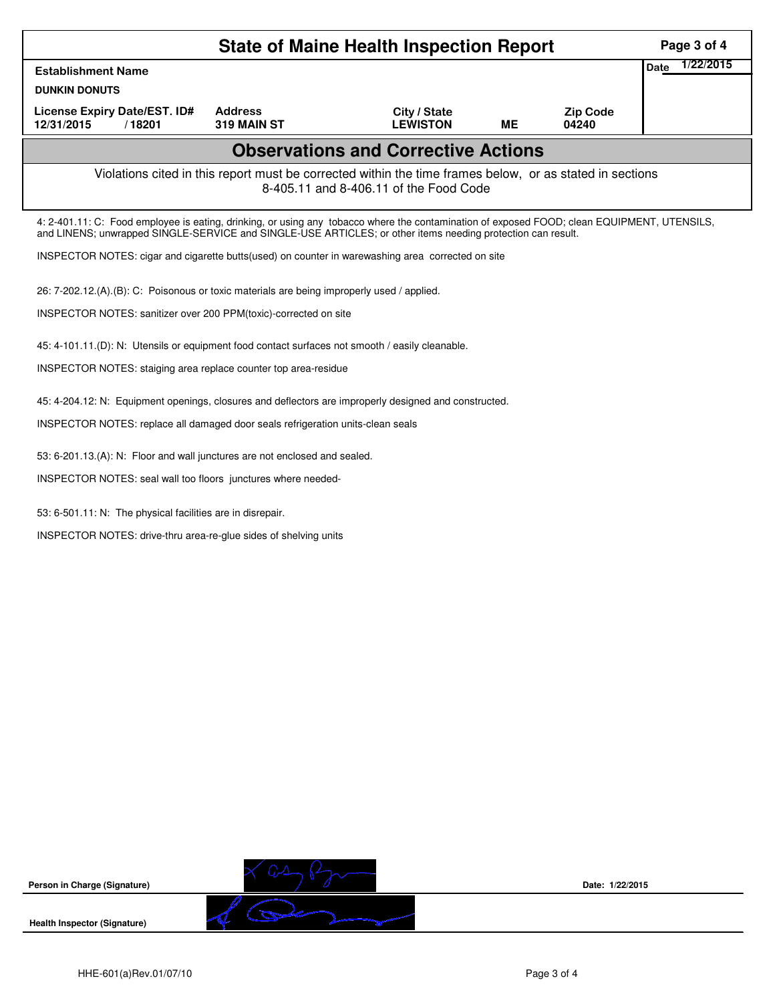|                                                                                                                                                                                                                                                            |                               | <b>State of Maine Health Inspection Report</b> |           |                          | Page 3 of 4              |  |  |  |  |
|------------------------------------------------------------------------------------------------------------------------------------------------------------------------------------------------------------------------------------------------------------|-------------------------------|------------------------------------------------|-----------|--------------------------|--------------------------|--|--|--|--|
| <b>Establishment Name</b>                                                                                                                                                                                                                                  |                               |                                                |           |                          | 1/22/2015<br><b>Date</b> |  |  |  |  |
| <b>DUNKIN DONUTS</b>                                                                                                                                                                                                                                       |                               |                                                |           |                          |                          |  |  |  |  |
| License Expiry Date/EST. ID#<br>12/31/2015<br>/18201                                                                                                                                                                                                       | <b>Address</b><br>319 MAIN ST | City / State<br><b>LEWISTON</b>                | <b>ME</b> | <b>Zip Code</b><br>04240 |                          |  |  |  |  |
|                                                                                                                                                                                                                                                            |                               | <b>Observations and Corrective Actions</b>     |           |                          |                          |  |  |  |  |
| Violations cited in this report must be corrected within the time frames below, or as stated in sections<br>8-405.11 and 8-406.11 of the Food Code                                                                                                         |                               |                                                |           |                          |                          |  |  |  |  |
| 4: 2-401.11: C: Food employee is eating, drinking, or using any tobacco where the contamination of exposed FOOD; clean EQUIPMENT, UTENSILS,<br>and LINENS; unwrapped SINGLE-SERVICE and SINGLE-USE ARTICLES; or other items needing protection can result. |                               |                                                |           |                          |                          |  |  |  |  |
| INSPECTOR NOTES: cigar and cigarette butts (used) on counter in warewashing area corrected on site                                                                                                                                                         |                               |                                                |           |                          |                          |  |  |  |  |
| 26: 7-202.12.(A).(B): C: Poisonous or toxic materials are being improperly used / applied.                                                                                                                                                                 |                               |                                                |           |                          |                          |  |  |  |  |
| INSPECTOR NOTES: sanitizer over 200 PPM(toxic)-corrected on site                                                                                                                                                                                           |                               |                                                |           |                          |                          |  |  |  |  |
| 45: 4-101.11.(D): N: Utensils or equipment food contact surfaces not smooth / easily cleanable.                                                                                                                                                            |                               |                                                |           |                          |                          |  |  |  |  |
| INSPECTOR NOTES: staiging area replace counter top area-residue                                                                                                                                                                                            |                               |                                                |           |                          |                          |  |  |  |  |
| 45: 4-204.12: N: Equipment openings, closures and deflectors are improperly designed and constructed.                                                                                                                                                      |                               |                                                |           |                          |                          |  |  |  |  |
| INSPECTOR NOTES: replace all damaged door seals refrigeration units-clean seals                                                                                                                                                                            |                               |                                                |           |                          |                          |  |  |  |  |
| 53: 6-201.13.(A): N: Floor and wall junctures are not enclosed and sealed.                                                                                                                                                                                 |                               |                                                |           |                          |                          |  |  |  |  |
| INSPECTOR NOTES: seal wall too floors junctures where needed-                                                                                                                                                                                              |                               |                                                |           |                          |                          |  |  |  |  |
| 53: 6-501.11: N: The physical facilities are in disrepair.                                                                                                                                                                                                 |                               |                                                |           |                          |                          |  |  |  |  |
| INSPECTOR NOTES: drive-thru area-re-glue sides of shelving units                                                                                                                                                                                           |                               |                                                |           |                          |                          |  |  |  |  |
|                                                                                                                                                                                                                                                            |                               |                                                |           |                          |                          |  |  |  |  |
|                                                                                                                                                                                                                                                            |                               |                                                |           |                          |                          |  |  |  |  |
|                                                                                                                                                                                                                                                            |                               |                                                |           |                          |                          |  |  |  |  |
|                                                                                                                                                                                                                                                            |                               |                                                |           |                          |                          |  |  |  |  |
|                                                                                                                                                                                                                                                            |                               |                                                |           |                          |                          |  |  |  |  |
|                                                                                                                                                                                                                                                            |                               |                                                |           |                          |                          |  |  |  |  |
|                                                                                                                                                                                                                                                            |                               |                                                |           |                          |                          |  |  |  |  |
|                                                                                                                                                                                                                                                            |                               |                                                |           |                          |                          |  |  |  |  |
|                                                                                                                                                                                                                                                            |                               |                                                |           |                          |                          |  |  |  |  |

**Person in Charge (Signature)**

**Health Inspector (Signature)** 

 $\sqrt{2}$ 

 $\sum_{\omega}$ 

 $\mathcal{I}$ 

**Date: 1/22/2015**